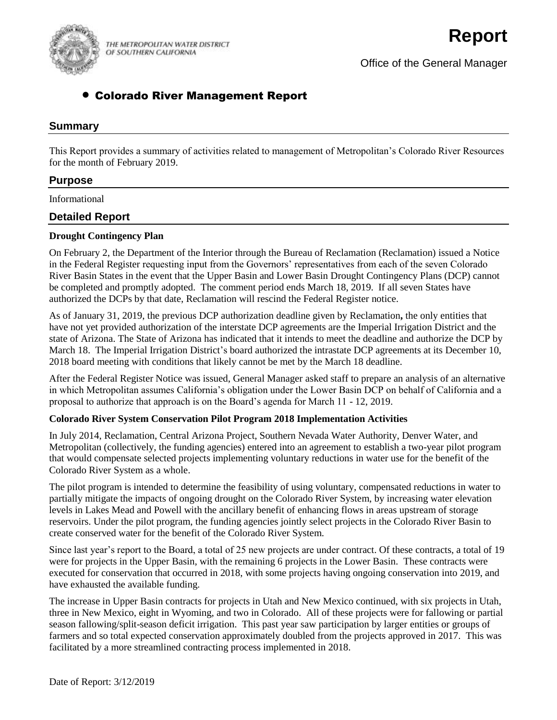

THE METROPOLITAN WATER DISTRICT OF SOUTHERN CALIFORNIA

Office of the General Manager

# Colorado River Management Report

### **Summary**

This Report provides a summary of activities related to management of Metropolitan's Colorado River Resources for the month of February 2019.

### **Purpose**

Informational

## **Detailed Report**

#### **Drought Contingency Plan**

On February 2, the Department of the Interior through the Bureau of Reclamation (Reclamation) issued a Notice in the Federal Register requesting input from the Governors' representatives from each of the seven Colorado River Basin States in the event that the Upper Basin and Lower Basin Drought Contingency Plans (DCP) cannot be completed and promptly adopted. The comment period ends March 18, 2019. If all seven States have authorized the DCPs by that date, Reclamation will rescind the Federal Register notice.

As of January 31, 2019, the previous DCP authorization deadline given by Reclamation**,** the only entities that have not yet provided authorization of the interstate DCP agreements are the Imperial Irrigation District and the state of Arizona. The State of Arizona has indicated that it intends to meet the deadline and authorize the DCP by March 18. The Imperial Irrigation District's board authorized the intrastate DCP agreements at its December 10, 2018 board meeting with conditions that likely cannot be met by the March 18 deadline.

After the Federal Register Notice was issued, General Manager asked staff to prepare an analysis of an alternative in which Metropolitan assumes California's obligation under the Lower Basin DCP on behalf of California and a proposal to authorize that approach is on the Board's agenda for March 11 - 12, 2019.

#### **Colorado River System Conservation Pilot Program 2018 Implementation Activities**

In July 2014, Reclamation, Central Arizona Project, Southern Nevada Water Authority, Denver Water, and Metropolitan (collectively, the funding agencies) entered into an agreement to establish a two-year pilot program that would compensate selected projects implementing voluntary reductions in water use for the benefit of the Colorado River System as a whole.

The pilot program is intended to determine the feasibility of using voluntary, compensated reductions in water to partially mitigate the impacts of ongoing drought on the Colorado River System, by increasing water elevation levels in Lakes Mead and Powell with the ancillary benefit of enhancing flows in areas upstream of storage reservoirs. Under the pilot program, the funding agencies jointly select projects in the Colorado River Basin to create conserved water for the benefit of the Colorado River System.

Since last year's report to the Board, a total of 25 new projects are under contract. Of these contracts, a total of 19 were for projects in the Upper Basin, with the remaining 6 projects in the Lower Basin. These contracts were executed for conservation that occurred in 2018, with some projects having ongoing conservation into 2019, and have exhausted the available funding.

The increase in Upper Basin contracts for projects in Utah and New Mexico continued, with six projects in Utah, three in New Mexico, eight in Wyoming, and two in Colorado. All of these projects were for fallowing or partial season fallowing/split-season deficit irrigation. This past year saw participation by larger entities or groups of farmers and so total expected conservation approximately doubled from the projects approved in 2017. This was facilitated by a more streamlined contracting process implemented in 2018.